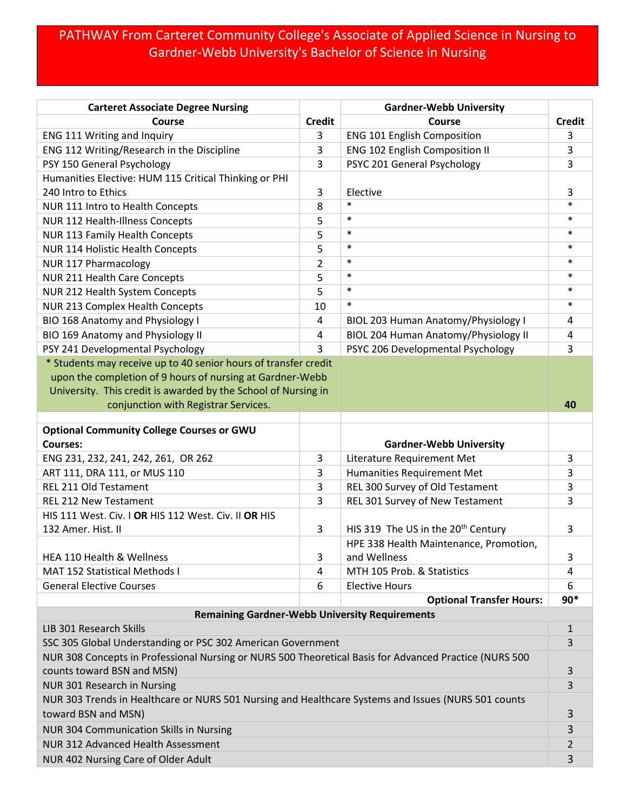## PATHWAY From Carteret Community College's Associate of Applied Science in Nursing to Gardner-Webb University's Bachelor of Science in Nursing

| <b>Carteret Associate Degree Nursing</b>                                                               |                | <b>Gardner-Webb University</b>                 |               |
|--------------------------------------------------------------------------------------------------------|----------------|------------------------------------------------|---------------|
| Course                                                                                                 | <b>Credit</b>  | Course                                         | <b>Credit</b> |
| ENG 111 Writing and Inquiry                                                                            | 3              | <b>ENG 101 English Composition</b>             | 3             |
| ENG 112 Writing/Research in the Discipline                                                             | 3              | <b>ENG 102 English Composition II</b>          | 3             |
| PSY 150 General Psychology                                                                             | 3              | PSYC 201 General Psychology                    | 3             |
| Humanities Elective: HUM 115 Critical Thinking or PHI                                                  |                |                                                |               |
| 240 Intro to Ethics                                                                                    | 3              | Elective                                       | 3             |
| NUR 111 Intro to Health Concepts                                                                       | 8              | $\ast$                                         | $\ast$        |
| NUR 112 Health-Illness Concepts                                                                        | 5              | $\ast$                                         | $\ast$        |
| NUR 113 Family Health Concepts                                                                         | 5              | $\ast$                                         | $\ast$        |
| NUR 114 Holistic Health Concepts                                                                       | 5              | $\ast$                                         | $\ast$        |
| <b>NUR 117 Pharmacology</b>                                                                            | $\overline{2}$ | $\ast$                                         | $\ast$        |
| NUR 211 Health Care Concepts                                                                           | 5              | $\ast$                                         | $\ast$        |
| NUR 212 Health System Concepts                                                                         | 5              | $\ast$                                         | $\ast$        |
| NUR 213 Complex Health Concepts                                                                        | 10             | $\ast$                                         | $\ast$        |
| BIO 168 Anatomy and Physiology I                                                                       | $\overline{4}$ | BIOL 203 Human Anatomy/Physiology I            | 4             |
| BIO 169 Anatomy and Physiology II                                                                      | 4              | BIOL 204 Human Anatomy/Physiology II           | 4             |
| PSY 241 Developmental Psychology                                                                       | 3              | PSYC 206 Developmental Psychology              | 3             |
| * Students may receive up to 40 senior hours of transfer credit                                        |                |                                                |               |
| upon the completion of 9 hours of nursing at Gardner-Webb                                              |                |                                                |               |
| University. This credit is awarded by the School of Nursing in                                         |                |                                                |               |
| conjunction with Registrar Services.                                                                   |                |                                                | 40            |
|                                                                                                        |                |                                                |               |
| <b>Optional Community College Courses or GWU</b><br><b>Courses:</b>                                    |                | <b>Gardner-Webb University</b>                 |               |
| ENG 231, 232, 241, 242, 261, OR 262                                                                    | 3              | Literature Requirement Met                     | 3             |
| ART 111, DRA 111, or MUS 110                                                                           | 3              | Humanities Requirement Met                     | 3             |
| REL 211 Old Testament                                                                                  | 3              | REL 300 Survey of Old Testament                | 3             |
| <b>REL 212 New Testament</b>                                                                           | 3              | REL 301 Survey of New Testament                | 3             |
| HIS 111 West. Civ. I OR HIS 112 West. Civ. II OR HIS                                                   |                |                                                |               |
| 132 Amer. Hist. II                                                                                     | 3              | HIS 319 The US in the 20 <sup>th</sup> Century | 3             |
|                                                                                                        |                | HPE 338 Health Maintenance, Promotion,         |               |
| HEA 110 Health & Wellness                                                                              | 3              | and Wellness                                   | 3             |
| MAT 152 Statistical Methods I                                                                          | 4              | MTH 105 Prob. & Statistics                     | 4             |
| <b>General Elective Courses</b>                                                                        | 6              | <b>Elective Hours</b>                          | 6             |
|                                                                                                        |                | <b>Optional Transfer Hours:</b>                | $90*$         |
| <b>Remaining Gardner-Webb University Requirements</b>                                                  |                |                                                |               |
| LIB 301 Research Skills                                                                                |                |                                                | $\mathbf{1}$  |
| SSC 305 Global Understanding or PSC 302 American Government                                            |                |                                                | 3             |
| NUR 308 Concepts in Professional Nursing or NURS 500 Theoretical Basis for Advanced Practice (NURS 500 |                |                                                |               |
| counts toward BSN and MSN)                                                                             |                |                                                | 3             |
| NUR 301 Research in Nursing                                                                            |                |                                                | 3             |
| NUR 303 Trends in Healthcare or NURS 501 Nursing and Healthcare Systems and Issues (NURS 501 counts    |                |                                                |               |
| toward BSN and MSN)                                                                                    |                |                                                | 3             |
| <b>NUR 304 Communication Skills in Nursing</b>                                                         |                |                                                | 3             |
| NUR 312 Advanced Health Assessment                                                                     |                |                                                | 2             |
| NUR 402 Nursing Care of Older Adult                                                                    |                |                                                | 3             |
|                                                                                                        |                |                                                |               |